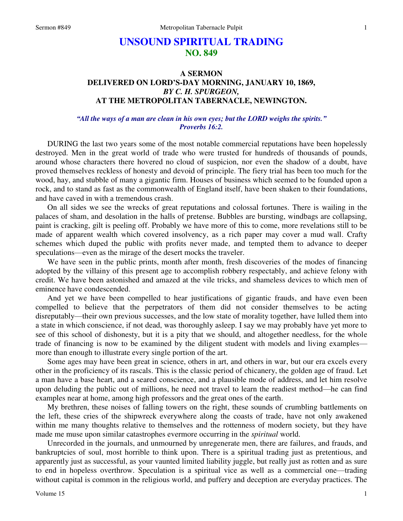# **UNSOUND SPIRITUAL TRADING NO. 849**

# **A SERMON DELIVERED ON LORD'S-DAY MORNING, JANUARY 10, 1869,**  *BY C. H. SPURGEON,*  **AT THE METROPOLITAN TABERNACLE, NEWINGTON.**

### *"All the ways of a man are clean in his own eyes; but the LORD weighs the spirits." Proverbs 16:2.*

 DURING the last two years some of the most notable commercial reputations have been hopelessly destroyed. Men in the great world of trade who were trusted for hundreds of thousands of pounds, around whose characters there hovered no cloud of suspicion, nor even the shadow of a doubt, have proved themselves reckless of honesty and devoid of principle. The fiery trial has been too much for the wood, hay, and stubble of many a gigantic firm. Houses of business which seemed to be founded upon a rock, and to stand as fast as the commonwealth of England itself, have been shaken to their foundations, and have caved in with a tremendous crash.

 On all sides we see the wrecks of great reputations and colossal fortunes. There is wailing in the palaces of sham, and desolation in the halls of pretense. Bubbles are bursting, windbags are collapsing, paint is cracking, gilt is peeling off. Probably we have more of this to come, more revelations still to be made of apparent wealth which covered insolvency, as a rich paper may cover a mud wall. Crafty schemes which duped the public with profits never made, and tempted them to advance to deeper speculations—even as the mirage of the desert mocks the traveler.

 We have seen in the public prints, month after month, fresh discoveries of the modes of financing adopted by the villainy of this present age to accomplish robbery respectably, and achieve felony with credit. We have been astonished and amazed at the vile tricks, and shameless devices to which men of eminence have condescended.

 And yet we have been compelled to hear justifications of gigantic frauds, and have even been compelled to believe that the perpetrators of them did not consider themselves to be acting disreputably—their own previous successes, and the low state of morality together, have lulled them into a state in which conscience, if not dead, was thoroughly asleep. I say we may probably have yet more to see of this school of dishonesty, but it is a pity that we should, and altogether needless, for the whole trade of financing is now to be examined by the diligent student with models and living examples more than enough to illustrate every single portion of the art.

 Some ages may have been great in science, others in art, and others in war, but our era excels every other in the proficiency of its rascals. This is the classic period of chicanery, the golden age of fraud. Let a man have a base heart, and a seared conscience, and a plausible mode of address, and let him resolve upon deluding the public out of millions, he need not travel to learn the readiest method—he can find examples near at home, among high professors and the great ones of the earth.

 My brethren, these noises of falling towers on the right, these sounds of crumbling battlements on the left, these cries of the shipwreck everywhere along the coasts of trade, have not only awakened within me many thoughts relative to themselves and the rottenness of modern society, but they have made me muse upon similar catastrophes evermore occurring in the *spiritual* world.

 Unrecorded in the journals, and unmourned by unregenerate men, there are failures, and frauds, and bankruptcies of soul, most horrible to think upon. There is a spiritual trading just as pretentious, and apparently just as successful, as your vaunted limited liability juggle, but really just as rotten and as sure to end in hopeless overthrow. Speculation is a spiritual vice as well as a commercial one—trading without capital is common in the religious world, and puffery and deception are everyday practices. The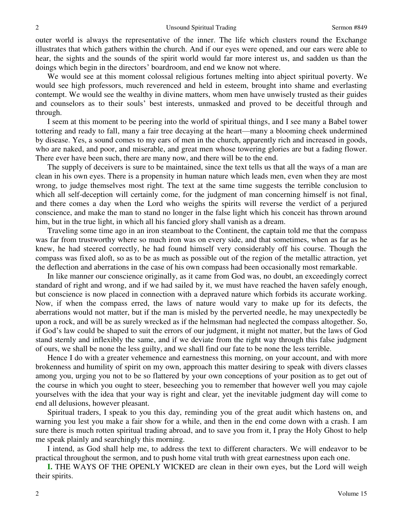outer world is always the representative of the inner. The life which clusters round the Exchange illustrates that which gathers within the church. And if our eyes were opened, and our ears were able to hear, the sights and the sounds of the spirit world would far more interest us, and sadden us than the doings which begin in the directors' boardroom, and end we know not where.

 We would see at this moment colossal religious fortunes melting into abject spiritual poverty. We would see high professors, much reverenced and held in esteem, brought into shame and everlasting contempt. We would see the wealthy in divine matters, whom men have unwisely trusted as their guides and counselors as to their souls' best interests, unmasked and proved to be deceitful through and through.

 I seem at this moment to be peering into the world of spiritual things, and I see many a Babel tower tottering and ready to fall, many a fair tree decaying at the heart—many a blooming cheek undermined by disease. Yes, a sound comes to my ears of men in the church, apparently rich and increased in goods, who are naked, and poor, and miserable, and great men whose towering glories are but a fading flower. There ever have been such, there are many now, and there will be to the end.

 The supply of deceivers is sure to be maintained, since the text tells us that all the ways of a man are clean in his own eyes. There is a propensity in human nature which leads men, even when they are most wrong, to judge themselves most right. The text at the same time suggests the terrible conclusion to which all self-deception will certainly come, for the judgment of man concerning himself is not final, and there comes a day when the Lord who weighs the spirits will reverse the verdict of a perjured conscience, and make the man to stand no longer in the false light which his conceit has thrown around him, but in the true light, in which all his fancied glory shall vanish as a dream.

 Traveling some time ago in an iron steamboat to the Continent, the captain told me that the compass was far from trustworthy where so much iron was on every side, and that sometimes, when as far as he knew, he had steered correctly, he had found himself very considerably off his course. Though the compass was fixed aloft, so as to be as much as possible out of the region of the metallic attraction, yet the deflection and aberrations in the case of his own compass had been occasionally most remarkable.

 In like manner our conscience originally, as it came from God was, no doubt, an exceedingly correct standard of right and wrong, and if we had sailed by it, we must have reached the haven safely enough, but conscience is now placed in connection with a depraved nature which forbids its accurate working. Now, if when the compass erred, the laws of nature would vary to make up for its defects, the aberrations would not matter, but if the man is misled by the perverted needle, he may unexpectedly be upon a rock, and will be as surely wrecked as if the helmsman had neglected the compass altogether. So, if God's law could be shaped to suit the errors of our judgment, it might not matter, but the laws of God stand sternly and inflexibly the same, and if we deviate from the right way through this false judgment of ours, we shall be none the less guilty, and we shall find our fate to be none the less terrible.

 Hence I do with a greater vehemence and earnestness this morning, on your account, and with more brokenness and humility of spirit on my own, approach this matter desiring to speak with divers classes among you, urging you not to be so flattered by your own conceptions of your position as to get out of the course in which you ought to steer, beseeching you to remember that however well you may cajole yourselves with the idea that your way is right and clear, yet the inevitable judgment day will come to end all delusions, however pleasant.

 Spiritual traders, I speak to you this day, reminding you of the great audit which hastens on, and warning you lest you make a fair show for a while, and then in the end come down with a crash. I am sure there is much rotten spiritual trading abroad, and to save you from it, I pray the Holy Ghost to help me speak plainly and searchingly this morning.

 I intend, as God shall help me, to address the text to different characters. We will endeavor to be practical throughout the sermon, and to push home vital truth with great earnestness upon each one.

**I.** THE WAYS OF THE OPENLY WICKED are clean in their own eyes, but the Lord will weigh their spirits.

2

2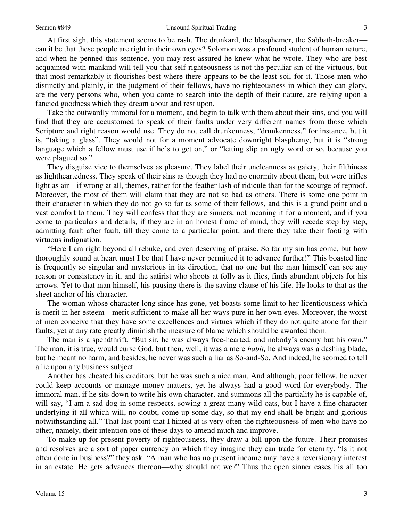At first sight this statement seems to be rash. The drunkard, the blasphemer, the Sabbath-breaker can it be that these people are right in their own eyes? Solomon was a profound student of human nature, and when he penned this sentence, you may rest assured he knew what he wrote. They who are best acquainted with mankind will tell you that self-righteousness is not the peculiar sin of the virtuous, but that most remarkably it flourishes best where there appears to be the least soil for it. Those men who distinctly and plainly, in the judgment of their fellows, have no righteousness in which they can glory, are the very persons who, when you come to search into the depth of their nature, are relying upon a fancied goodness which they dream about and rest upon.

 Take the outwardly immoral for a moment, and begin to talk with them about their sins, and you will find that they are accustomed to speak of their faults under very different names from those which Scripture and right reason would use. They do not call drunkenness, "drunkenness," for instance, but it is, "taking a glass". They would not for a moment advocate downright blasphemy, but it is "strong language which a fellow must use if he's to get on," or "letting slip an ugly word or so, because you were plagued so."

 They disguise vice to themselves as pleasure. They label their uncleanness as gaiety, their filthiness as lightheartedness. They speak of their sins as though they had no enormity about them, but were trifles light as air—if wrong at all, themes, rather for the feather lash of ridicule than for the scourge of reproof. Moreover, the most of them will claim that they are not so bad as others. There is some one point in their character in which they do not go so far as some of their fellows, and this is a grand point and a vast comfort to them. They will confess that they are sinners, not meaning it for a moment, and if you come to particulars and details, if they are in an honest frame of mind, they will recede step by step, admitting fault after fault, till they come to a particular point, and there they take their footing with virtuous indignation.

"Here I am right beyond all rebuke, and even deserving of praise. So far my sin has come, but how thoroughly sound at heart must I be that I have never permitted it to advance further!" This boasted line is frequently so singular and mysterious in its direction, that no one but the man himself can see any reason or consistency in it, and the satirist who shoots at folly as it flies, finds abundant objects for his arrows. Yet to that man himself, his pausing there is the saving clause of his life. He looks to that as the sheet anchor of his character.

 The woman whose character long since has gone, yet boasts some limit to her licentiousness which is merit in her esteem—merit sufficient to make all her ways pure in her own eyes. Moreover, the worst of men conceive that they have some excellences and virtues which if they do not quite atone for their faults, yet at any rate greatly diminish the measure of blame which should be awarded them.

 The man is a spendthrift, "But sir, he was always free-hearted, and nobody's enemy but his own." The man, it is true, would curse God, but then, well, it was a mere *habit,* he always was a dashing blade, but he meant no harm, and besides, he never was such a liar as So-and-So. And indeed, he scorned to tell a lie upon any business subject.

 Another has cheated his creditors, but he was such a nice man. And although, poor fellow, he never could keep accounts or manage money matters, yet he always had a good word for everybody. The immoral man, if he sits down to write his own character, and summons all the partiality he is capable of, will say, "I am a sad dog in some respects, sowing a great many wild oats, but I have a fine character underlying it all which will, no doubt, come up some day, so that my end shall be bright and glorious notwithstanding all." That last point that I hinted at is very often the righteousness of men who have no other, namely, their intention one of these days to amend much and improve.

 To make up for present poverty of righteousness, they draw a bill upon the future. Their promises and resolves are a sort of paper currency on which they imagine they can trade for eternity. "Is it not often done in business?" they ask. "A man who has no present income may have a reversionary interest in an estate. He gets advances thereon—why should not we?" Thus the open sinner eases his all too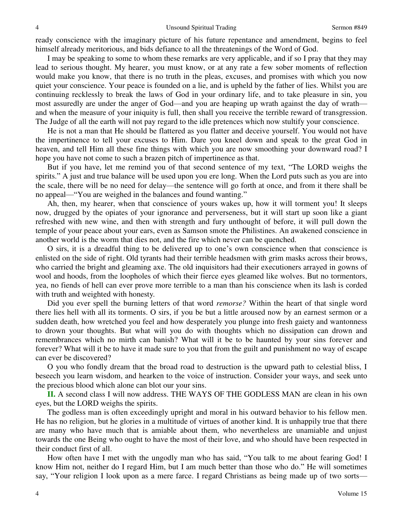ready conscience with the imaginary picture of his future repentance and amendment, begins to feel himself already meritorious, and bids defiance to all the threatenings of the Word of God.

 I may be speaking to some to whom these remarks are very applicable, and if so I pray that they may lead to serious thought. My hearer, you must know, or at any rate a few sober moments of reflection would make you know, that there is no truth in the pleas, excuses, and promises with which you now quiet your conscience. Your peace is founded on a lie, and is upheld by the father of lies. Whilst you are continuing recklessly to break the laws of God in your ordinary life, and to take pleasure in sin, you most assuredly are under the anger of God—and you are heaping up wrath against the day of wrath and when the measure of your iniquity is full, then shall you receive the terrible reward of transgression. The Judge of all the earth will not pay regard to the idle pretences which now stultify your conscience.

 He is not a man that He should be flattered as you flatter and deceive yourself. You would not have the impertinence to tell your excuses to Him. Dare you kneel down and speak to the great God in heaven, and tell Him all these fine things with which you are now smoothing your downward road? I hope you have not come to such a brazen pitch of impertinence as that.

 But if you have, let me remind you of that second sentence of my text, "The LORD weighs the spirits." A just and true balance will be used upon you ere long. When the Lord puts such as you are into the scale, there will be no need for delay—the sentence will go forth at once, and from it there shall be no appeal—"You are weighed in the balances and found wanting."

 Ah, then, my hearer, when that conscience of yours wakes up, how it will torment you! It sleeps now, drugged by the opiates of your ignorance and perverseness, but it will start up soon like a giant refreshed with new wine, and then with strength and fury unthought of before, it will pull down the temple of your peace about your ears, even as Samson smote the Philistines. An awakened conscience in another world is the worm that dies not, and the fire which never can be quenched.

O sirs, it is a dreadful thing to be delivered up to one's own conscience when that conscience is enlisted on the side of right. Old tyrants had their terrible headsmen with grim masks across their brows, who carried the bright and gleaming axe. The old inquisitors had their executioners arrayed in gowns of wool and hoods, from the loopholes of which their fierce eyes gleamed like wolves. But no tormentors, yea, no fiends of hell can ever prove more terrible to a man than his conscience when its lash is corded with truth and weighted with honesty*.* 

 Did you ever spell the burning letters of that word *remorse?* Within the heart of that single word there lies hell with all its torments. O sirs, if you be but a little aroused now by an earnest sermon or a sudden death, how wretched you feel and how desperately you plunge into fresh gaiety and wantonness to drown your thoughts. But what will you do with thoughts which no dissipation can drown and remembrances which no mirth can banish? What will it be to be haunted by your sins forever and forever? What will it be to have it made sure to you that from the guilt and punishment no way of escape can ever be discovered?

 O you who fondly dream that the broad road to destruction is the upward path to celestial bliss, I beseech you learn wisdom, and hearken to the voice of instruction. Consider your ways, and seek unto the precious blood which alone can blot our your sins.

**II.** A second class I will now address. THE WAYS OF THE GODLESS MAN are clean in his own eyes, but the LORD weighs the spirits.

 The godless man is often exceedingly upright and moral in his outward behavior to his fellow men. He has no religion, but he glories in a multitude of virtues of another kind. It is unhappily true that there are many who have much that is amiable about them, who nevertheless are unamiable and unjust towards the one Being who ought to have the most of their love, and who should have been respected in their conduct first of all.

 How often have I met with the ungodly man who has said, "You talk to me about fearing God! I know Him not, neither do I regard Him, but I am much better than those who do." He will sometimes say, "Your religion I look upon as a mere farce. I regard Christians as being made up of two sorts—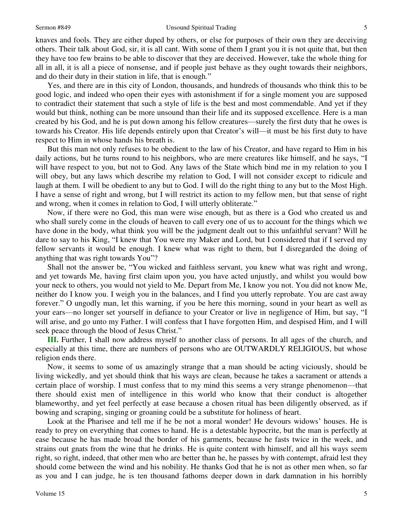### Sermon #849 Unsound Spiritual Trading

knaves and fools. They are either duped by others, or else for purposes of their own they are deceiving others. Their talk about God, sir, it is all cant. With some of them I grant you it is not quite that, but then they have too few brains to be able to discover that they are deceived. However, take the whole thing for all in all, it is all a piece of nonsense, and if people just behave as they ought towards their neighbors, and do their duty in their station in life, that is enough."

 Yes, and there are in this city of London, thousands, and hundreds of thousands who think this to be good logic, and indeed who open their eyes with astonishment if for a single moment you are supposed to contradict their statement that such a style of life is the best and most commendable. And yet if they would but think, nothing can be more unsound than their life and its supposed excellence. Here is a man created by his God, and he is put down among his fellow creatures—surely the first duty that he owes is towards his Creator. His life depends entirely upon that Creator's will—it must be his first duty to have respect to Him in whose hands his breath is.

 But this man not only refuses to be obedient to the law of his Creator, and have regard to Him in his daily actions, but he turns round to his neighbors, who are mere creatures like himself, and he says, "I will have respect to you, but not to God. Any laws of the State which bind me in my relation to you I will obey, but any laws which describe my relation to God, I will not consider except to ridicule and laugh at them. I will be obedient to any but to God. I will do the right thing to any but to the Most High. I have a sense of right and wrong, but I will restrict its action to my fellow men, but that sense of right and wrong, when it comes in relation to God, I will utterly obliterate."

 Now, if there were no God, this man were wise enough, but as there is a God who created us and who shall surely come in the clouds of heaven to call every one of us to account for the things which we have done in the body, what think you will be the judgment dealt out to this unfaithful servant? Will he dare to say to his King, "I knew that You were my Maker and Lord, but I considered that if I served my fellow servants it would be enough. I knew what was right to them, but I disregarded the doing of anything that was right towards You"?

 Shall not the answer be, "You wicked and faithless servant, you knew what was right and wrong, and yet towards Me, having first claim upon you, you have acted unjustly, and whilst you would bow your neck to others, you would not yield to Me. Depart from Me, I know you not. You did not know Me, neither do I know you. I weigh you in the balances, and I find you utterly reprobate. You are cast away forever." O ungodly man, let this warning, if you be here this morning, sound in your heart as well as your ears—no longer set yourself in defiance to your Creator or live in negligence of Him, but say, "I will arise, and go unto my Father. I will confess that I have forgotten Him, and despised Him, and I will seek peace through the blood of Jesus Christ."

**III.** Further, I shall now address myself to another class of persons. In all ages of the church, and especially at this time, there are numbers of persons who are OUTWARDLY RELIGIOUS, but whose religion ends there.

 Now, it seems to some of us amazingly strange that a man should be acting viciously, should be living wickedly, and yet should think that his ways are clean, because he takes a sacrament or attends a certain place of worship. I must confess that to my mind this seems a very strange phenomenon—that there should exist men of intelligence in this world who know that their conduct is altogether blameworthy, and yet feel perfectly at ease because a chosen ritual has been diligently observed, as if bowing and scraping, singing or groaning could be a substitute for holiness of heart.

 Look at the Pharisee and tell me if he be not a moral wonder! He devours widows' houses. He is ready to prey on everything that comes to hand. He is a detestable hypocrite, but the man is perfectly at ease because he has made broad the border of his garments, because he fasts twice in the week, and strains out gnats from the wine that he drinks. He is quite content with himself, and all his ways seem right, so right, indeed, that other men who are better than he, he passes by with contempt, afraid lest they should come between the wind and his nobility. He thanks God that he is not as other men when, so far as you and I can judge, he is ten thousand fathoms deeper down in dark damnation in his horribly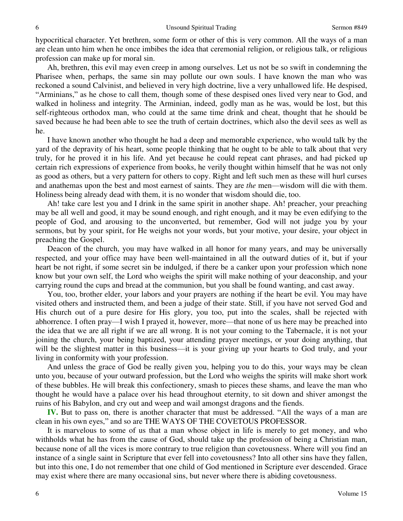hypocritical character. Yet brethren, some form or other of this is very common. All the ways of a man are clean unto him when he once imbibes the idea that ceremonial religion, or religious talk, or religious profession can make up for moral sin.

 Ah, brethren, this evil may even creep in among ourselves. Let us not be so swift in condemning the Pharisee when, perhaps, the same sin may pollute our own souls. I have known the man who was reckoned a sound Calvinist, and believed in very high doctrine, live a very unhallowed life. He despised, "Arminians," as he chose to call them, though some of these despised ones lived very near to God, and walked in holiness and integrity. The Arminian, indeed, godly man as he was, would be lost, but this self-righteous orthodox man, who could at the same time drink and cheat, thought that he should be saved because he had been able to see the truth of certain doctrines, which also the devil sees as well as he.

 I have known another who thought he had a deep and memorable experience, who would talk by the yard of the depravity of his heart, some people thinking that he ought to be able to talk about that very truly, for he proved it in his life. And yet because he could repeat cant phrases, and had picked up certain rich expressions of experience from books, he verily thought within himself that he was not only as good as others, but a very pattern for others to copy. Right and left such men as these will hurl curses and anathemas upon the best and most earnest of saints. They are *the* men—wisdom will die with them. Holiness being already dead with them, it is no wonder that wisdom should die, too.

Ah! take care lest you and I drink in the same spirit in another shape. Ah! preacher, your preaching may be all well and good, it may be sound enough, and right enough, and it may be even edifying to the people of God, and arousing to the unconverted, but remember, God will not judge you by your sermons, but by your spirit, for He weighs not your words, but your motive, your desire, your object in preaching the Gospel.

 Deacon of the church, you may have walked in all honor for many years, and may be universally respected, and your office may have been well-maintained in all the outward duties of it, but if your heart be not right, if some secret sin be indulged, if there be a canker upon your profession which none know but your own self, the Lord who weighs the spirit will make nothing of your deaconship, and your carrying round the cups and bread at the communion, but you shall be found wanting, and cast away.

 You, too, brother elder, your labors and your prayers are nothing if the heart be evil. You may have visited others and instructed them, and been a judge of their state. Still, if you have not served God and His church out of a pure desire for His glory, you too, put into the scales, shall be rejected with abhorrence. I often pray—I wish I prayed it, however, more—that none of us here may be preached into the idea that we are all right if we are all wrong. It is not your coming to the Tabernacle, it is not your joining the church, your being baptized, your attending prayer meetings, or your doing anything, that will be the slightest matter in this business—it is your giving up your hearts to God truly, and your living in conformity with your profession.

 And unless the grace of God be really given you, helping you to do this, your ways may be clean unto you, because of your outward profession, but the Lord who weighs the spirits will make short work of these bubbles. He will break this confectionery, smash to pieces these shams, and leave the man who thought he would have a palace over his head throughout eternity, to sit down and shiver amongst the ruins of his Babylon, and cry out and weep and wail amongst dragons and the fiends.

**IV.** But to pass on, there is another character that must be addressed. "All the ways of a man are clean in his own eyes," and so are THE WAYS OF THE COVETOUS PROFESSOR.

 It is marvelous to some of us that a man whose object in life is merely to get money, and who withholds what he has from the cause of God, should take up the profession of being a Christian man, because none of all the vices is more contrary to true religion than covetousness. Where will you find an instance of a single saint in Scripture that ever fell into covetousness? Into all other sins have they fallen, but into this one, I do not remember that one child of God mentioned in Scripture ever descended. Grace may exist where there are many occasional sins, but never where there is abiding covetousness.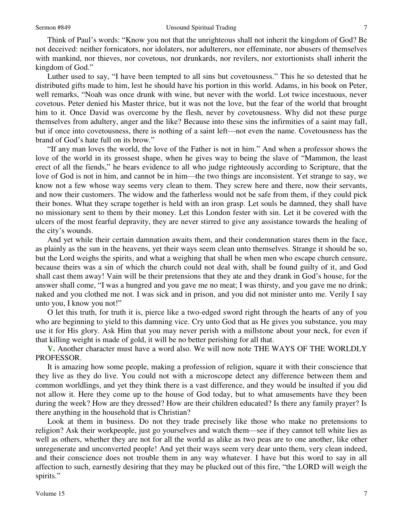Think of Paul's words: "Know you not that the unrighteous shall not inherit the kingdom of God? Be not deceived: neither fornicators, nor idolaters, nor adulterers, nor effeminate, nor abusers of themselves with mankind, nor thieves, nor covetous, nor drunkards, nor revilers, nor extortionists shall inherit the kingdom of God."

 Luther used to say, "I have been tempted to all sins but covetousness." This he so detested that he distributed gifts made to him, lest he should have his portion in this world. Adams, in his book on Peter, well remarks, "Noah was once drunk with wine, but never with the world. Lot twice incestuous, never covetous. Peter denied his Master thrice, but it was not the love, but the fear of the world that brought him to it. Once David was overcome by the flesh, never by covetousness. Why did not these purge themselves from adultery, anger and the like? Because into these sins the infirmities of a saint may fall, but if once into covetousness, there is nothing of a saint left—not even the name. Covetousness has the brand of God's hate full on its brow."

"If any man loves the world, the love of the Father is not in him." And when a professor shows the love of the world in its grossest shape, when he gives way to being the slave of "Mammon, the least erect of all the fiends," he bears evidence to all who judge righteously according to Scripture, that the love of God is not in him, and cannot be in him—the two things are inconsistent. Yet strange to say, we know not a few whose way seems very clean to them. They screw here and there, now their servants, and now their customers. The widow and the fatherless would not be safe from them, if they could pick their bones. What they scrape together is held with an iron grasp. Let souls be damned, they shall have no missionary sent to them by their money. Let this London fester with sin. Let it be covered with the ulcers of the most fearful depravity, they are never stirred to give any assistance towards the healing of the city's wounds.

 And yet while their certain damnation awaits them, and their condemnation stares them in the face, as plainly as the sun in the heavens, yet their ways seem clean unto themselves. Strange it should be so, but the Lord weighs the spirits, and what a weighing that shall be when men who escape church censure, because theirs was a sin of which the church could not deal with, shall be found guilty of it, and God shall cast them away! Vain will be their pretensions that they ate and they drank in God's house, for the answer shall come, "I was a hungred and you gave me no meat; I was thirsty, and you gave me no drink; naked and you clothed me not. I was sick and in prison, and you did not minister unto me. Verily I say unto you, I know you not!"

 O let this truth, for truth it is, pierce like a two-edged sword right through the hearts of any of you who are beginning to yield to this damning vice. Cry unto God that as He gives you substance, you may use it for His glory. Ask Him that you may never perish with a millstone about your neck, for even if that killing weight is made of gold, it will be no better perishing for all that.

**V.** Another character must have a word also. We will now note THE WAYS OF THE WORLDLY PROFESSOR.

 It is amazing how some people, making a profession of religion, square it with their conscience that they live as they do live. You could not with a microscope detect any difference between them and common worldlings, and yet they think there is a vast difference, and they would be insulted if you did not allow it. Here they come up to the house of God today, but to what amusements have they been during the week? How are they dressed? How are their children educated? Is there any family prayer? Is there anything in the household that is Christian?

 Look at them in business. Do not they trade precisely like those who make no pretensions to religion? Ask their workpeople, just go yourselves and watch them—see if they cannot tell white lies as well as others, whether they are not for all the world as alike as two peas are to one another, like other unregenerate and unconverted people! And yet their ways seem very dear unto them, very clean indeed, and their conscience does not trouble them in any way whatever. I have but this word to say in all affection to such, earnestly desiring that they may be plucked out of this fire, "the LORD will weigh the spirits."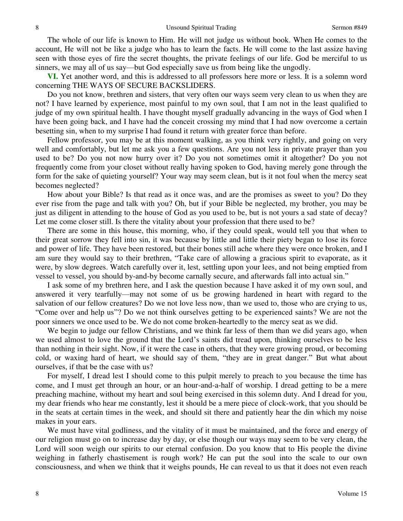The whole of our life is known to Him. He will not judge us without book. When He comes to the account, He will not be like a judge who has to learn the facts. He will come to the last assize having seen with those eyes of fire the secret thoughts, the private feelings of our life. God be merciful to us sinners, we may all of us say—but God especially save us from being like the ungodly.

**VI.** Yet another word, and this is addressed to all professors here more or less. It is a solemn word concerning THE WAYS OF SECURE BACKSLIDERS.

 Do you not know, brethren and sisters, that very often our ways seem very clean to us when they are not? I have learned by experience, most painful to my own soul, that I am not in the least qualified to judge of my own spiritual health. I have thought myself gradually advancing in the ways of God when I have been going back, and I have had the conceit crossing my mind that I had now overcome a certain besetting sin, when to my surprise I had found it return with greater force than before.

 Fellow professor, you may be at this moment walking, as you think very rightly, and going on very well and comfortably, but let me ask you a few questions. Are you not less in private prayer than you used to be? Do you not now hurry over it? Do you not sometimes omit it altogether? Do you not frequently come from your closet without really having spoken to God, having merely gone through the form for the sake of quieting yourself? Your way may seem clean, but is it not foul when the mercy seat becomes neglected?

 How about your Bible? Is that read as it once was, and are the promises as sweet to you? Do they ever rise from the page and talk with you? Oh, but if your Bible be neglected, my brother, you may be just as diligent in attending to the house of God as you used to be, but is not yours a sad state of decay? Let me come closer still. Is there the vitality about your profession that there used to be?

 There are some in this house, this morning, who, if they could speak, would tell you that when to their great sorrow they fell into sin, it was because by little and little their piety began to lose its force and power of life. They have been restored, but their bones still ache where they were once broken, and I am sure they would say to their brethren, "Take care of allowing a gracious spirit to evaporate, as it were, by slow degrees. Watch carefully over it, lest, settling upon your lees, and not being emptied from vessel to vessel, you should by-and-by become carnally secure, and afterwards fall into actual sin."

 I ask some of my brethren here, and I ask the question because I have asked it of my own soul, and answered it very tearfully—may not some of us be growing hardened in heart with regard to the salvation of our fellow creatures? Do we not love less now, than we used to, those who are crying to us, "Come over and help us"? Do we not think ourselves getting to be experienced saints? We are not the poor sinners we once used to be. We do not come broken-heartedly to the mercy seat as we did.

We begin to judge our fellow Christians, and we think far less of them than we did years ago, when we used almost to love the ground that the Lord's saints did tread upon, thinking ourselves to be less than nothing in their sight. Now, if it were the case in others, that they were growing proud, or becoming cold, or waxing hard of heart, we should say of them, "they are in great danger." But what about ourselves, if that be the case with us?

 For myself, I dread lest I should come to this pulpit merely to preach to you because the time has come, and I must get through an hour, or an hour-and-a-half of worship. I dread getting to be a mere preaching machine, without my heart and soul being exercised in this solemn duty. And I dread for you, my dear friends who hear me constantly, lest it should be a mere piece of clock-work, that you should be in the seats at certain times in the week, and should sit there and patiently hear the din which my noise makes in your ears.

 We must have vital godliness, and the vitality of it must be maintained, and the force and energy of our religion must go on to increase day by day, or else though our ways may seem to be very clean, the Lord will soon weigh our spirits to our eternal confusion. Do you know that to His people the divine weighing in fatherly chastisement is rough work? He can put the soul into the scale to our own consciousness, and when we think that it weighs pounds, He can reveal to us that it does not even reach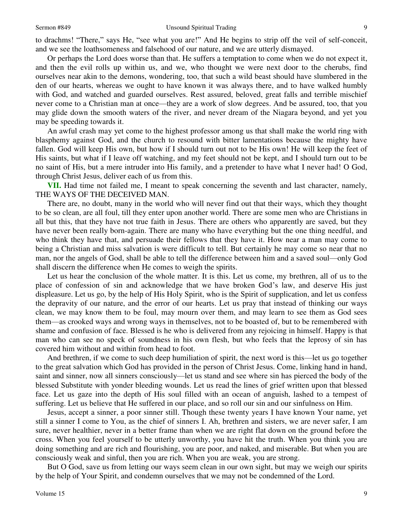to drachms! "There," says He, "see what you are!" And He begins to strip off the veil of self-conceit, and we see the loathsomeness and falsehood of our nature, and we are utterly dismayed.

 Or perhaps the Lord does worse than that. He suffers a temptation to come when we do not expect it, and then the evil rolls up within us, and we, who thought we were next door to the cherubs, find ourselves near akin to the demons, wondering, too, that such a wild beast should have slumbered in the den of our hearts, whereas we ought to have known it was always there, and to have walked humbly with God, and watched and guarded ourselves. Rest assured, beloved, great falls and terrible mischief never come to a Christian man at once—they are a work of slow degrees. And be assured, too, that you may glide down the smooth waters of the river, and never dream of the Niagara beyond, and yet you may be speeding towards it.

 An awful crash may yet come to the highest professor among us that shall make the world ring with blasphemy against God, and the church to resound with bitter lamentations because the mighty have fallen. God will keep His own, but how if I should turn out not to be His own! He will keep the feet of His saints, but what if I leave off watching, and my feet should not be kept, and I should turn out to be no saint of His, but a mere intruder into His family, and a pretender to have what I never had! O God, through Christ Jesus, deliver each of us from this.

**VII.** Had time not failed me, I meant to speak concerning the seventh and last character, namely, THE WAYS OF THE DECEIVED MAN.

 There are, no doubt, many in the world who will never find out that their ways, which they thought to be so clean, are all foul, till they enter upon another world. There are some men who are Christians in all but this, that they have not true faith in Jesus. There are others who apparently are saved, but they have never been really born-again. There are many who have everything but the one thing needful, and who think they have that, and persuade their fellows that they have it. How near a man may come to being a Christian and miss salvation is were difficult to tell. But certainly he may come so near that no man, nor the angels of God, shall be able to tell the difference between him and a saved soul—only God shall discern the difference when He comes to weigh the spirits.

 Let us hear the conclusion of the whole matter. It is this. Let us come, my brethren, all of us to the place of confession of sin and acknowledge that we have broken God's law, and deserve His just displeasure. Let us go, by the help of His Holy Spirit, who is the Spirit of supplication, and let us confess the depravity of our nature, and the error of our hearts. Let us pray that instead of thinking our ways clean, we may know them to be foul, may mourn over them, and may learn to see them as God sees them—as crooked ways and wrong ways in themselves, not to be boasted of, but to be remembered with shame and confusion of face. Blessed is he who is delivered from any rejoicing in himself. Happy is that man who can see no speck of soundness in his own flesh, but who feels that the leprosy of sin has covered him without and within from head to foot.

 And brethren, if we come to such deep humiliation of spirit, the next word is this—let us go together to the great salvation which God has provided in the person of Christ Jesus. Come, linking hand in hand, saint and sinner, now all sinners consciously—let us stand and see where sin has pierced the body of the blessed Substitute with yonder bleeding wounds. Let us read the lines of grief written upon that blessed face. Let us gaze into the depth of His soul filled with an ocean of anguish, lashed to a tempest of suffering. Let us believe that He suffered in our place, and so roll our sin and our sinfulness on Him.

 Jesus, accept a sinner, a poor sinner still. Though these twenty years I have known Your name, yet still a sinner I come to You, as the chief of sinners I. Ah, brethren and sisters, we are never safer, I am sure, never healthier, never in a better frame than when we are right flat down on the ground before the cross. When you feel yourself to be utterly unworthy, you have hit the truth. When you think you are doing something and are rich and flourishing, you are poor, and naked, and miserable. But when you are consciously weak and sinful, then you are rich. When you are weak, you are strong.

 But O God, save us from letting our ways seem clean in our own sight, but may we weigh our spirits by the help of Your Spirit, and condemn ourselves that we may not be condemned of the Lord.